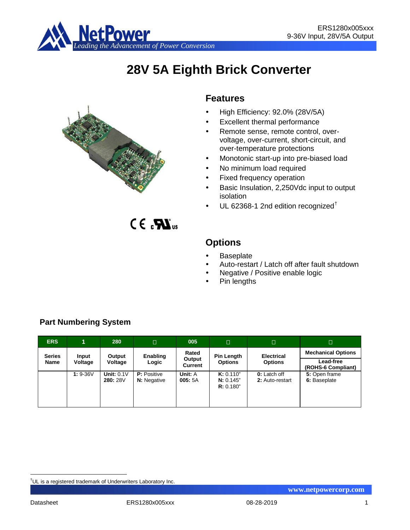

# **28V 5A Eighth Brick Converter**



 $C \in \mathbf{R}$ <sub>us</sub>

# **Features**

- High Efficiency: 92.0% (28V/5A)
- Excellent thermal performance
- Remote sense, remote control, overvoltage, over-current, short-circuit, and over-temperature protections
- Monotonic start-up into pre-biased load
- No minimum load required
- Fixed frequency operation
- Basic Insulation, 2,250Vdc input to output isolation
- UL 62368-1 2nd edition recognized[†](#page-0-0)

**Options**

- **Baseplate**
- Auto-restart / Latch off after fault shutdown
- Negative / Positive enable logic
- Pin lengths

| <b>ERS</b>    | 1          | 280                           | $\Box$                                   | 005               | $\Box$                              | $\Box$                          | Π                               |
|---------------|------------|-------------------------------|------------------------------------------|-------------------|-------------------------------------|---------------------------------|---------------------------------|
| <b>Series</b> | Input      | Output                        | Enabling                                 | Rated             | <b>Pin Length</b>                   | <b>Electrical</b>               | <b>Mechanical Options</b>       |
| Name          | Voltage    | Voltage                       | Logic                                    | Output<br>Current | <b>Options</b>                      | <b>Options</b>                  | Lead-free<br>(ROHS-6 Compliant) |
|               | $1: 9-36V$ | <b>Unit: 0.1V</b><br>280: 28V | <b>P:</b> Positive<br><b>N:</b> Negative | Unit: A<br>005:5A | K: 0.110"<br>N: 0.145"<br>R: 0.180" | 0: Latch off<br>2: Auto-restart | 5: Open frame<br>6: Baseplate   |

# **Part Numbering System**

<span id="page-0-0"></span><sup>|&</sup>lt;br>|<br>| UL is a registered trademark of Underwriters Laboratory Inc.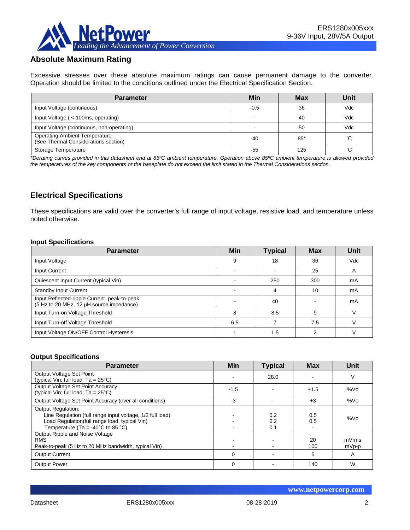

# **Absolute Maximum Rating**

Excessive stresses over these absolute maximum ratings can cause permanent damage to the converter. Operation should be limited to the conditions outlined under the Electrical Specification Section.

| <b>Parameter</b>                                                             | Min    | <b>Max</b> | Unit |
|------------------------------------------------------------------------------|--------|------------|------|
| Input Voltage (continuous)                                                   | $-0.5$ | 36         | Vdc  |
| Input Voltage ( < 100ms, operating)                                          |        | 40         | Vdc  |
| Input Voltage (continuous, non-operating)                                    |        | 50         | Vdc  |
| <b>Operating Ambient Temperature</b><br>(See Thermal Considerations section) | -40    | $85*$      | °С   |
| Storage Temperature                                                          | -55    | 125        | °С   |

*\*Derating curves provided in this datasheet end at 85ºC ambient temperature. Operation above 85ºC ambient temperature is allowed provided the temperatures of the key components or the baseplate do not exceed the limit stated in the Thermal Considerations section.*

# **Electrical Specifications**

These specifications are valid over the converter's full range of input voltage, resistive load, and temperature unless noted otherwise.

#### **Input Specifications**

| <b>Parameter</b>                                                                         | <b>Min</b> | <b>Typical</b> | <b>Max</b> | Unit |
|------------------------------------------------------------------------------------------|------------|----------------|------------|------|
| Input Voltage                                                                            | 9          | 18             | 36         | Vdc  |
| <b>Input Current</b>                                                                     |            |                | 25         | Α    |
| Quiescent Input Current (typical Vin)                                                    |            | 250            | 300        | mA   |
| <b>Standby Input Current</b>                                                             |            | 4              | 10         | mA   |
| Input Reflected-ripple Current, peak-to-peak<br>(5 Hz to 20 MHz, 12 µH source impedance) |            | 40             |            | mA   |
| Input Turn-on Voltage Threshold                                                          | 8          | 8.5            | 9          |      |
| Input Turn-off Voltage Threshold                                                         | 6.5        |                | 7.5        |      |
| Input Voltage ON/OFF Control Hysteresis                                                  |            | 1.5            | っ          |      |

#### **Output Specifications**

| <b>Parameter</b>                                                                                                                                                                                  | Min    | <b>Typical</b>    | <b>Max</b> | Unit            |
|---------------------------------------------------------------------------------------------------------------------------------------------------------------------------------------------------|--------|-------------------|------------|-----------------|
| Output Voltage Set Point<br>(typical Vin; full load; $Ta = 25^{\circ}C$ )                                                                                                                         |        | 28.0              |            | ٧               |
| Output Voltage Set Point Accuracy<br>(typical Vin; full load; $Ta = 25^{\circ}C$ )                                                                                                                | $-1.5$ |                   | $+1.5$     | %V <sub>O</sub> |
| Output Voltage Set Point Accuracy (over all conditions)                                                                                                                                           | $-3$   |                   | $+3$       | %Vo             |
| <b>Output Regulation:</b><br>Line Regulation (full range input voltage, 1/2 full load)<br>Load Regulation(full range load, typical Vin)<br>Temperature (Ta = -40 $^{\circ}$ C to 85 $^{\circ}$ C) |        | 0.2<br>0.2<br>0.1 | 0.5<br>0.5 | %Vo             |
| Output Ripple and Noise Voltage<br><b>RMS</b><br>Peak-to-peak (5 Hz to 20 MHz bandwidth, typical Vin)                                                                                             |        |                   | 20<br>100  | mVrms<br>mVp-p  |
| <b>Output Current</b>                                                                                                                                                                             | 0      |                   | 5          | A               |
| <b>Output Power</b>                                                                                                                                                                               | 0      |                   | 140        | W               |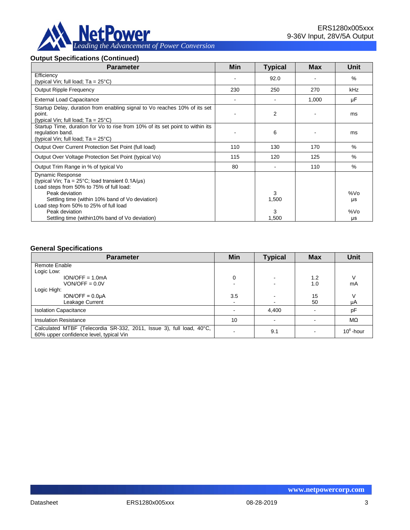

### **Output Specifications (Continued)**

| <b>Parameter</b>                                                                                                                                          | Min | <b>Typical</b> | <b>Max</b> | Unit      |
|-----------------------------------------------------------------------------------------------------------------------------------------------------------|-----|----------------|------------|-----------|
| Efficiency<br>(typical Vin; full load; $Ta = 25^{\circ}C$ )                                                                                               |     | 92.0           |            | $\%$      |
| <b>Output Ripple Frequency</b>                                                                                                                            | 230 | 250            | 270        | kHz       |
| <b>External Load Capacitance</b>                                                                                                                          |     |                | 1,000      | μF        |
| Startup Delay, duration from enabling signal to Vo reaches 10% of its set<br>point.<br>(typical Vin; full load; $Ta = 25^{\circ}C$ )                      |     | 2              |            | ms        |
| Startup Time, duration for Vo to rise from 10% of its set point to within its<br>regulation band.<br>(typical Vin; full load; Ta = 25°C)                  |     | 6              |            | ms        |
| Output Over Current Protection Set Point (full load)                                                                                                      | 110 | 130            | 170        | %         |
| Output Over Voltage Protection Set Point (typical Vo)                                                                                                     | 115 | 120            | 125        | $\%$      |
| Output Trim Range in % of typical Vo                                                                                                                      | 80  |                | 110        | $\%$      |
| <b>Dynamic Response</b><br>(typical Vin; Ta = $25^{\circ}$ C; load transient 0.1A/ $\mu$ s)<br>Load steps from 50% to 75% of full load:<br>Peak deviation |     | 3              |            | %Vo       |
| Settling time (within 10% band of Vo deviation)<br>Load step from 50% to 25% of full load<br>Peak deviation                                               |     | 1,500<br>3     |            | μs<br>%Vo |
| Settling time (within 10% band of Vo deviation)                                                                                                           |     | 1,500          |            | μs        |

#### **General Specifications**

| <b>Parameter</b>                                                                                                | Min            | <b>Typical</b> | <b>Max</b> | <b>Unit</b>  |
|-----------------------------------------------------------------------------------------------------------------|----------------|----------------|------------|--------------|
| Remote Enable                                                                                                   |                |                |            |              |
| Logic Low:                                                                                                      |                |                |            |              |
| $ION/OFF = 1.0mA$                                                                                               | 0              |                | 1.2        |              |
| $VON/OFF = 0.0V$                                                                                                |                |                | 1.0        | mA           |
| Logic High:                                                                                                     |                |                |            |              |
| $ION/OFF = 0.0µA$                                                                                               | 3.5            |                | 15         |              |
| Leakage Current                                                                                                 | $\blacksquare$ |                | 50         | μA           |
| <b>Isolation Capacitance</b>                                                                                    |                | 4,400          |            | pF           |
| <b>Insulation Resistance</b>                                                                                    | 10             |                |            | MΩ           |
| Calculated MTBF (Telecordia SR-332, 2011, Issue 3), full load, 40°C,<br>60% upper confidence level, typical Vin |                | 9.1            |            | $10^6$ -hour |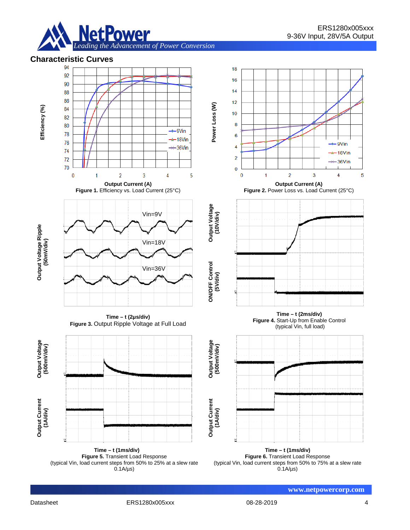

# **Characteristic Curves**



**Figure 5.** Transient Load Response (typical Vin, load current steps from 50% to 25% at a slew rate  $0.1A/\mu s$ 

**Figure 6.** Transient Load Response (typical Vin, load current steps from 50% to 75% at a slew rate  $0.1A/\mu s$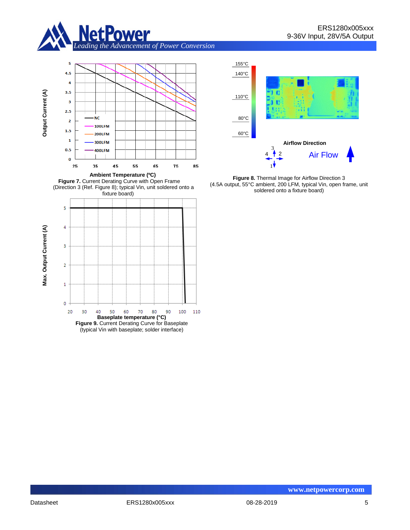











**Figure 8.** Thermal Image for Airflow Direction 3 (4.5A output, 55°C ambient, 200 LFM, typical Vin, open frame, unit soldered onto a fixture board)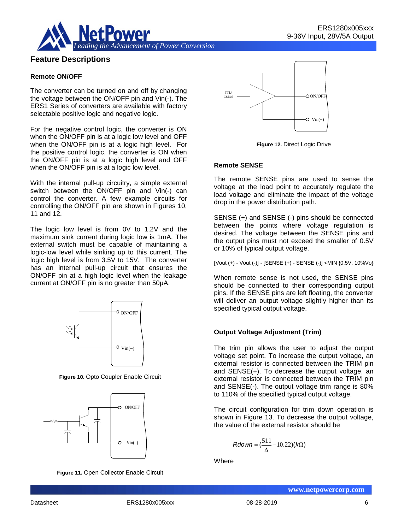

## **Feature Descriptions**

#### **Remote ON/OFF**

The converter can be turned on and off by changing the voltage between the ON/OFF pin and Vin(-). The ERS1 Series of converters are available with factory selectable positive logic and negative logic.

For the negative control logic, the converter is ON when the ON/OFF pin is at a logic low level and OFF when the ON/OFF pin is at a logic high level. For the positive control logic, the converter is ON when the ON/OFF pin is at a logic high level and OFF when the ON/OFF pin is at a logic low level.

With the internal pull-up circuitry, a simple external switch between the ON/OFF pin and Vin(-) can control the converter. A few example circuits for controlling the ON/OFF pin are shown in Figures 10, 11 and 12.

The logic low level is from 0V to 1.2V and the maximum sink current during logic low is 1mA. The external switch must be capable of maintaining a logic-low level while sinking up to this current. The logic high level is from 3.5V to 15V. The converter has an internal pull-up circuit that ensures the ON/OFF pin at a high logic level when the leakage current at ON/OFF pin is no greater than 50μA.



**Figure 10.** Opto Coupler Enable Circuit



**Figure 11.** Open Collector Enable Circuit



**Figure 12.** Direct Logic Drive

#### **Remote SENSE**

The remote SENSE pins are used to sense the voltage at the load point to accurately regulate the load voltage and eliminate the impact of the voltage drop in the power distribution path.

SENSE (+) and SENSE (-) pins should be connected between the points where voltage regulation is desired. The voltage between the SENSE pins and the output pins must not exceed the smaller of 0.5V or 10% of typical output voltage.

[Vout (+) - Vout (-)] - [SENSE (+) - SENSE (-)] <MIN {0.5V, 10%Vo}

When remote sense is not used, the SENSE pins should be connected to their corresponding output pins. If the SENSE pins are left floating, the converter will deliver an output voltage slightly higher than its specified typical output voltage.

#### **Output Voltage Adjustment (Trim)**

The trim pin allows the user to adjust the output voltage set point. To increase the output voltage, an external resistor is connected between the TRIM pin and SENSE(+). To decrease the output voltage, an external resistor is connected between the TRIM pin and SENSE(-). The output voltage trim range is 80% to 110% of the specified typical output voltage.

The circuit configuration for trim down operation is shown in Figure 13. To decrease the output voltage, the value of the external resistor should be

$$
Rdown = (\frac{511}{\Delta} - 10.22)(k\Omega)
$$

**Where**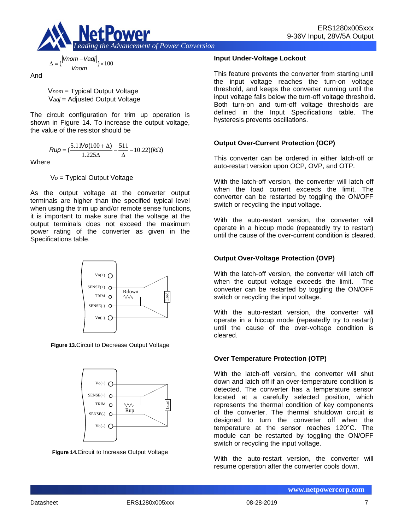

$$
\Delta = \left(\frac{|Vnom - Vadj|}{Vnom}\right) \times 100
$$

And

V*nom* = Typical Output Voltage V*adj* = Adjusted Output Voltage

The circuit configuration for trim up operation is shown in Figure 14. To increase the output voltage, the value of the resistor should be

$$
Rup = \left(\frac{5.11\text{Vol}(100 + \Delta)}{1.225\Delta} - \frac{511}{\Delta} - 10.22\right)(k\Omega)
$$

**Where** 

V*o* = Typical Output Voltage

As the output voltage at the converter output terminals are higher than the specified typical level when using the trim up and/or remote sense functions, it is important to make sure that the voltage at the output terminals does not exceed the maximum power rating of the converter as given in the Specifications table.



**Figure 13.**Circuit to Decrease Output Voltage



**Figure 14.**Circuit to Increase Output Voltage

#### **Input Under-Voltage Lockout**

This feature prevents the converter from starting until the input voltage reaches the turn-on voltage threshold, and keeps the converter running until the input voltage falls below the turn-off voltage threshold. Both turn-on and turn-off voltage thresholds are defined in the Input Specifications table. The hysteresis prevents oscillations.

#### **Output Over-Current Protection (OCP)**

This converter can be ordered in either latch-off or auto-restart version upon OCP, OVP, and OTP.

With the latch-off version, the converter will latch off when the load current exceeds the limit. The converter can be restarted by toggling the ON/OFF switch or recycling the input voltage.

With the auto-restart version, the converter will operate in a hiccup mode (repeatedly try to restart) until the cause of the over-current condition is cleared.

### **Output Over-Voltage Protection (OVP)**

With the latch-off version, the converter will latch off when the output voltage exceeds the limit. The converter can be restarted by toggling the ON/OFF switch or recycling the input voltage.

With the auto-restart version, the converter will operate in a hiccup mode (repeatedly try to restart) until the cause of the over-voltage condition is cleared.

#### **Over Temperature Protection (OTP)**

With the latch-off version, the converter will shut down and latch off if an over-temperature condition is detected. The converter has a temperature sensor located at a carefully selected position, which represents the thermal condition of key components of the converter. The thermal shutdown circuit is designed to turn the converter off when the temperature at the sensor reaches 120°C. The module can be restarted by toggling the ON/OFF switch or recycling the input voltage.

With the auto-restart version, the converter will resume operation after the converter cools down.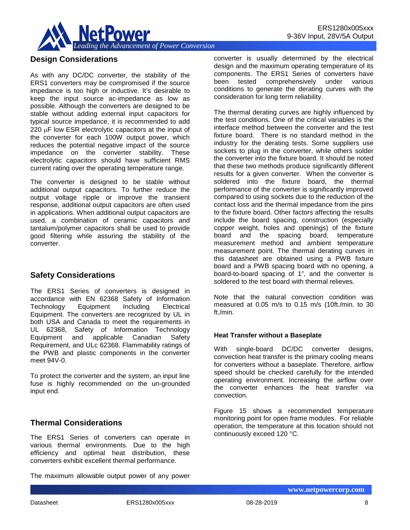

## **Design Considerations**

As with any DC/DC converter, the stability of the ERS1 converters may be compromised if the source impedance is too high or inductive. It's desirable to keep the input source ac-impedance as low as possible. Although the converters are designed to be stable without adding external input capacitors for typical source impedance, it is recommended to add 220 uF low ESR electrolytic capacitors at the input of the converter for each 100W output power, which reduces the potential negative impact of the source impedance on the converter stability. These electrolytic capacitors should have sufficient RMS current rating over the operating temperature range.

The converter is designed to be stable without additional output capacitors. To further reduce the output voltage ripple or improve the transient response, additional output capacitors are often used in applications. When additional output capacitors are used, a combination of ceramic capacitors and tantalum/polymer capacitors shall be used to provide good filtering while assuring the stability of the converter.

## **Safety Considerations**

The ERS1 Series of converters is designed in accordance with EN 62368 Safety of Information Technology Equipment Including Electrical Equipment. The converters are recognized by UL in both USA and Canada to meet the requirements in UL 62368, Safety of Information Technology Equipment and applicable Canadian Safety Requirement, and ULc 62368. Flammability ratings of the PWB and plastic components in the converter meet 94V-0.

To protect the converter and the system, an input line fuse is highly recommended on the un-grounded input end.

## **Thermal Considerations**

The ERS1 Series of converters can operate in various thermal environments. Due to the high efficiency and optimal heat distribution, these converters exhibit excellent thermal performance.

The maximum allowable output power of any power

converter is usually determined by the electrical design and the maximum operating temperature of its components. The ERS1 Series of converters have been tested comprehensively under various conditions to generate the derating curves with the consideration for long term reliability.

The thermal derating curves are highly influenced by the test conditions. One of the critical variables is the interface method between the converter and the test fixture board. There is no standard method in the industry for the derating tests. Some suppliers use sockets to plug in the converter, while others solder the converter into the fixture board. It should be noted that these two methods produce significantly different results for a given converter. When the converter is soldered into the fixture board, the thermal performance of the converter is significantly improved compared to using sockets due to the reduction of the contact loss and the thermal impedance from the pins to the fixture board. Other factors affecting the results include the board spacing, construction (especially copper weight, holes and openings) of the fixture board and the spacing board, temperature measurement method and ambient temperature measurement point. The thermal derating curves in this datasheet are obtained using a PWB fixture board and a PWB spacing board with no opening, a board-to-board spacing of 1", and the converter is soldered to the test board with thermal relieves.

Note that the natural convection condition was measured at 0.05 m/s to 0.15 m/s (10ft./min. to 30 ft./min.

#### **Heat Transfer without a Baseplate**

With single-board DC/DC converter designs, convection heat transfer is the primary cooling means for converters without a baseplate. Therefore, airflow speed should be checked carefully for the intended operating environment. Increasing the airflow over the converter enhances the heat transfer via convection.

Figure 15 shows a recommended temperature monitoring point for open frame modules. For reliable operation, the temperature at this location should not continuously exceed 120 °C.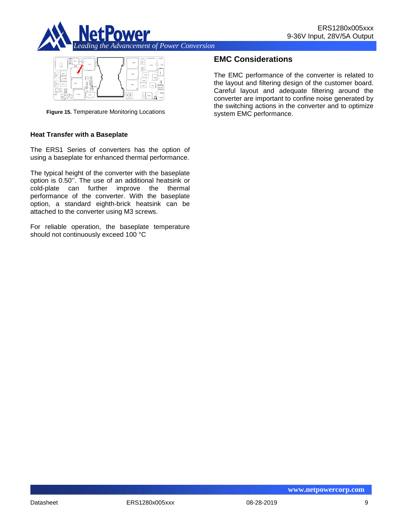



**Figure 15.** Temperature Monitoring Locations

#### **Heat Transfer with a Baseplate**

The ERS1 Series of converters has the option of using a baseplate for enhanced thermal performance.

The typical height of the converter with the baseplate option is 0.50''. The use of an additional heatsink or cold-plate can further improve the thermal performance of the converter. With the baseplate option, a standard eighth-brick heatsink can be attached to the converter using M3 screws.

For reliable operation, the baseplate temperature should not continuously exceed 100 °C

## **EMC Considerations**

The EMC performance of the converter is related to the layout and filtering design of the customer board. Careful layout and adequate filtering around the converter are important to confine noise generated by the switching actions in the converter and to optimize system EMC performance.